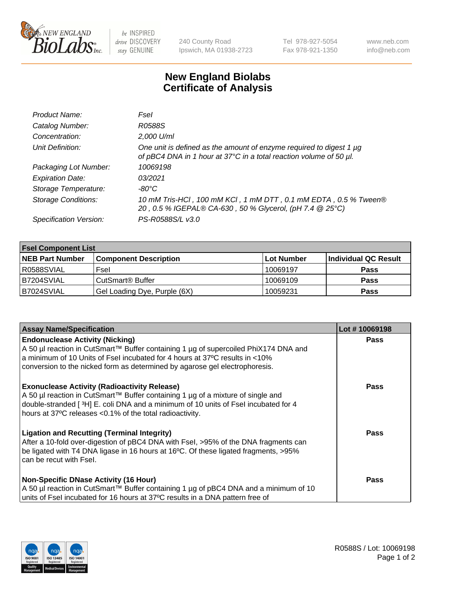

 $be$  INSPIRED drive DISCOVERY stay GENUINE

240 County Road Ipswich, MA 01938-2723 Tel 978-927-5054 Fax 978-921-1350 www.neb.com info@neb.com

## **New England Biolabs Certificate of Analysis**

| Product Name:              | Fsel                                                                                                                                      |
|----------------------------|-------------------------------------------------------------------------------------------------------------------------------------------|
| Catalog Number:            | R0588S                                                                                                                                    |
| Concentration:             | 2,000 U/ml                                                                                                                                |
| Unit Definition:           | One unit is defined as the amount of enzyme required to digest 1 µg<br>of pBC4 DNA in 1 hour at 37°C in a total reaction volume of 50 µl. |
| Packaging Lot Number:      | 10069198                                                                                                                                  |
| <b>Expiration Date:</b>    | 0.3/2021                                                                                                                                  |
| Storage Temperature:       | $-80^{\circ}$ C                                                                                                                           |
| <b>Storage Conditions:</b> | 10 mM Tris-HCl, 100 mM KCl, 1 mM DTT, 0.1 mM EDTA, 0.5 % Tween®<br>20, 0.5 % IGEPAL® CA-630, 50 % Glycerol, (pH 7.4 @ 25°C)               |
| Specification Version:     | PS-R0588S/L v3.0                                                                                                                          |

| <b>Fsel Component List</b> |                              |             |                      |  |  |
|----------------------------|------------------------------|-------------|----------------------|--|--|
| <b>NEB Part Number</b>     | <b>Component Description</b> | ∣Lot Number | Individual QC Result |  |  |
| R0588SVIAL                 | Fsel                         | 10069197    | <b>Pass</b>          |  |  |
| IB7204SVIAL                | CutSmart® Buffer             | 10069109    | <b>Pass</b>          |  |  |
| B7024SVIAL                 | Gel Loading Dye, Purple (6X) | 10059231    | <b>Pass</b>          |  |  |

| <b>Assay Name/Specification</b>                                                                                                                                    | Lot #10069198 |
|--------------------------------------------------------------------------------------------------------------------------------------------------------------------|---------------|
| <b>Endonuclease Activity (Nicking)</b>                                                                                                                             | <b>Pass</b>   |
| A 50 µl reaction in CutSmart™ Buffer containing 1 µg of supercoiled PhiX174 DNA and<br>a minimum of 10 Units of Fsel incubated for 4 hours at 37°C results in <10% |               |
| conversion to the nicked form as determined by agarose gel electrophoresis.                                                                                        |               |
|                                                                                                                                                                    |               |
| <b>Exonuclease Activity (Radioactivity Release)</b>                                                                                                                | <b>Pass</b>   |
| A 50 µl reaction in CutSmart™ Buffer containing 1 µg of a mixture of single and                                                                                    |               |
| double-stranded [3H] E. coli DNA and a minimum of 10 units of Fsel incubated for 4<br>hours at 37°C releases <0.1% of the total radioactivity.                     |               |
|                                                                                                                                                                    |               |
| <b>Ligation and Recutting (Terminal Integrity)</b>                                                                                                                 | Pass          |
| After a 10-fold over-digestion of pBC4 DNA with Fsel, >95% of the DNA fragments can                                                                                |               |
| be ligated with T4 DNA ligase in 16 hours at 16°C. Of these ligated fragments, >95%                                                                                |               |
| can be recut with Fsel.                                                                                                                                            |               |
| <b>Non-Specific DNase Activity (16 Hour)</b>                                                                                                                       | <b>Pass</b>   |
| A 50 µl reaction in CutSmart™ Buffer containing 1 µg of pBC4 DNA and a minimum of 10                                                                               |               |
| units of Fsel incubated for 16 hours at 37°C results in a DNA pattern free of                                                                                      |               |